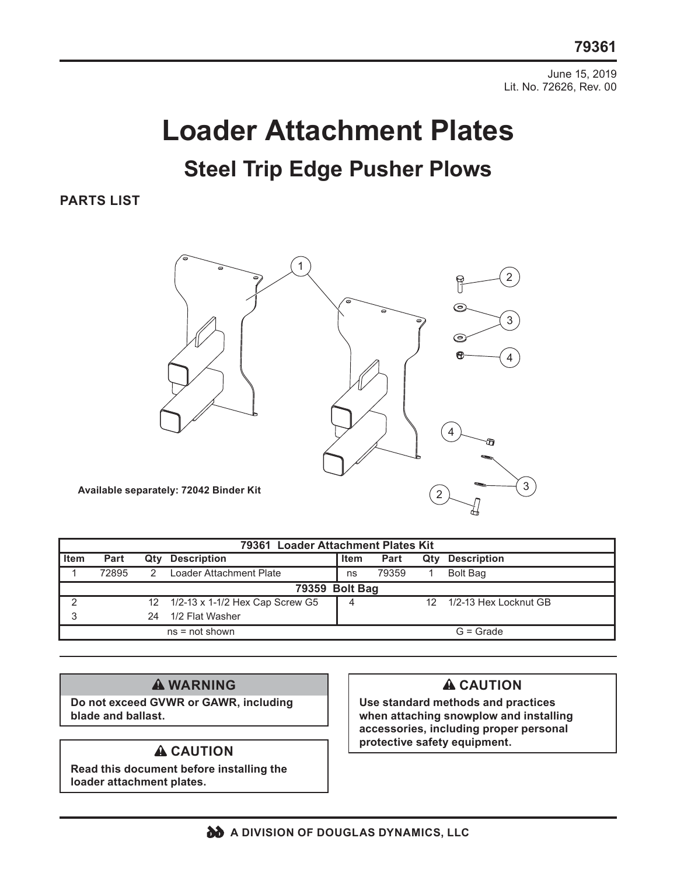June 15, 2019 Lit. No. 72626, Rev. 00

# **Loader Attachment Plates Steel Trip Edge Pusher Plows**

#### **PARTS LIST**



| 79361 Loader Attachment Plates Kit |       |     |                                    |             |       |     |                       |
|------------------------------------|-------|-----|------------------------------------|-------------|-------|-----|-----------------------|
| <b>Item</b>                        | Part  | Qty | <b>Description</b>                 | Item        | Part  | Qtv | <b>Description</b>    |
|                                    | 72895 | 2   | Loader Attachment Plate            | ns          | 79359 |     | <b>Bolt Bag</b>       |
| 79359 Bolt Bag                     |       |     |                                    |             |       |     |                       |
| ◠                                  |       |     | 12 1/2-13 x 1-1/2 Hex Cap Screw G5 |             |       |     | 1/2-13 Hex Locknut GB |
|                                    |       | 24  | 1/2 Flat Washer                    |             |       |     |                       |
| $ns = not shown$                   |       |     |                                    | $G =$ Grade |       |     |                       |

#### **WARNING**

**Do not exceed GVWR or GAWR, including blade and ballast.** 

**Read this document before installing the loader attachment plates.**

### **A** CAUTION

**Use standard methods and practices when attaching snowplow and installing accessories, including proper personal A CAUTION** protective safety equipment.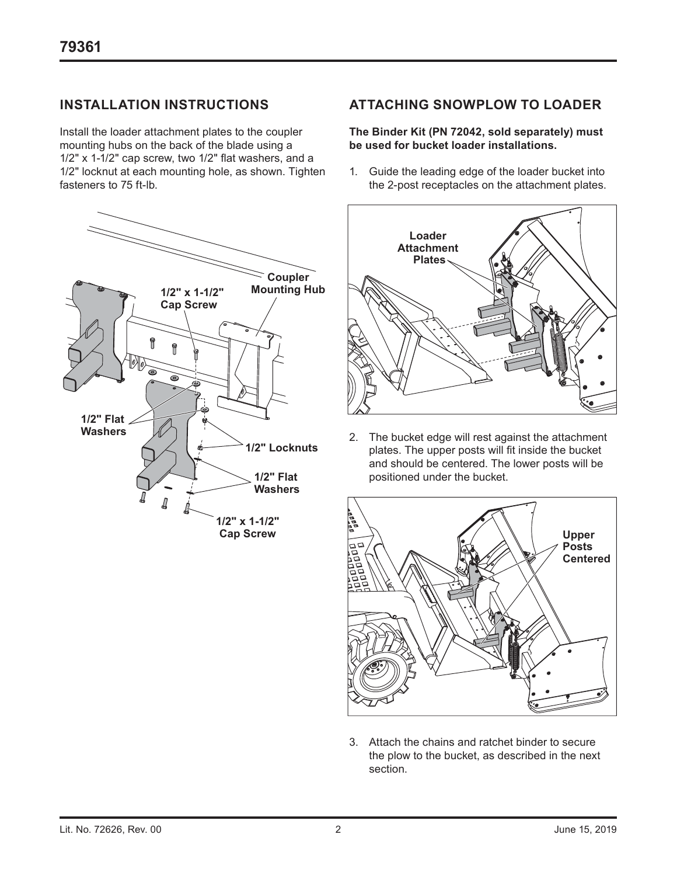### **INSTALLATION INSTRUCTIONS**

Install the loader attachment plates to the coupler mounting hubs on the back of the blade using a 1/2" x 1-1/2" cap screw, two 1/2" flat washers, and a 1/2" locknut at each mounting hole, as shown. Tighten fasteners to 75 ft-lb.



#### **ATTACHING SNOWPLOW TO LOADER**

#### **The Binder Kit (PN 72042, sold separately) must be used for bucket loader installations.**

1. Guide the leading edge of the loader bucket into the 2-post receptacles on the attachment plates.



2. The bucket edge will rest against the attachment plates. The upper posts will fit inside the bucket and should be centered. The lower posts will be positioned under the bucket.



3. Attach the chains and ratchet binder to secure the plow to the bucket, as described in the next section.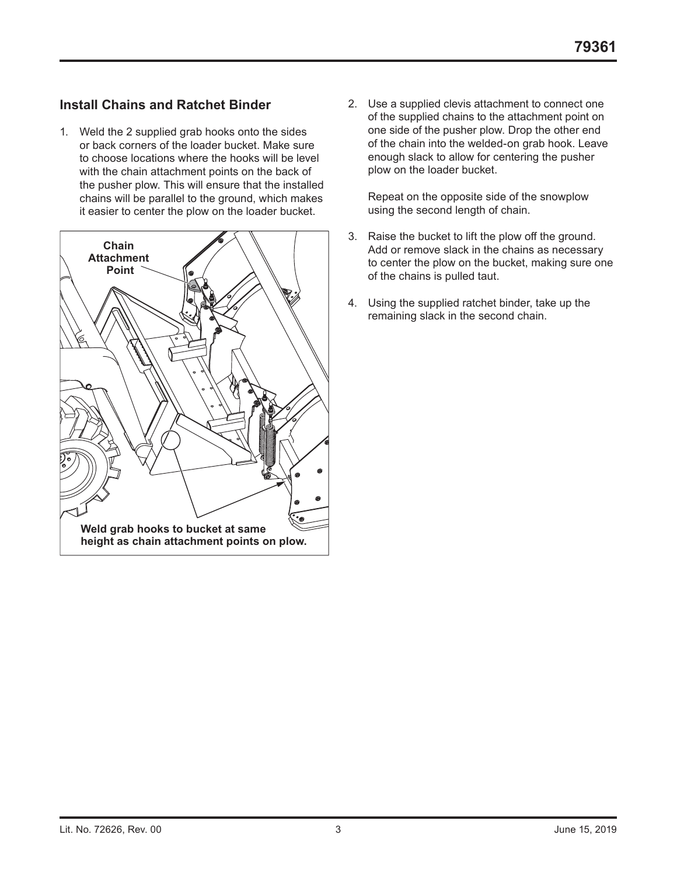## **Install Chains and Ratchet Binder**

1. Weld the 2 supplied grab hooks onto the sides or back corners of the loader bucket. Make sure to choose locations where the hooks will be level with the chain attachment points on the back of the pusher plow. This will ensure that the installed chains will be parallel to the ground, which makes it easier to center the plow on the loader bucket.



2. Use a supplied clevis attachment to connect one of the supplied chains to the attachment point on one side of the pusher plow. Drop the other end of the chain into the welded-on grab hook. Leave enough slack to allow for centering the pusher plow on the loader bucket.

Repeat on the opposite side of the snowplow using the second length of chain.

- 3. Raise the bucket to lift the plow off the ground. Add or remove slack in the chains as necessary to center the plow on the bucket, making sure one of the chains is pulled taut.
- 4. Using the supplied ratchet binder, take up the remaining slack in the second chain.